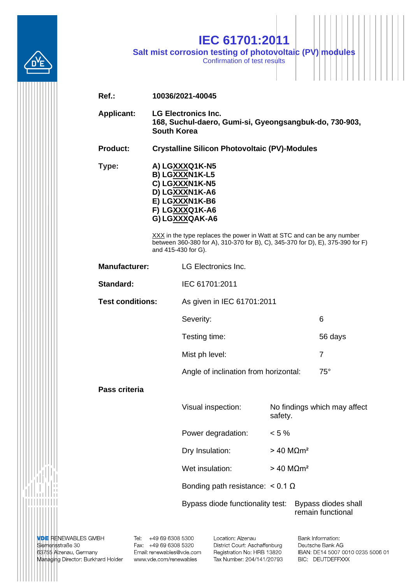

## **IEC 61701:2011**

**Salt mist corrosion testing of photovoltaic (PV) modules**

Confirmation of test results

| $Ref.$ :                |                                                                                                            | 10036/2021-40045                                                                                                                                                                 |                                  |            |                              |
|-------------------------|------------------------------------------------------------------------------------------------------------|----------------------------------------------------------------------------------------------------------------------------------------------------------------------------------|----------------------------------|------------|------------------------------|
| <b>Applicant:</b>       | <b>LG Electronics Inc.</b><br>168, Suchul-daero, Gumi-si, Gyeongsangbuk-do, 730-903,<br><b>South Korea</b> |                                                                                                                                                                                  |                                  |            |                              |
| <b>Product:</b>         |                                                                                                            | <b>Crystalline Silicon Photovoltaic (PV)-Modules</b>                                                                                                                             |                                  |            |                              |
| Type:                   |                                                                                                            | A) LGXXXQ1K-N5<br>B) LGXXXN1K-L5<br>C) LGXXXN1K-N5<br>D) LGXXXN1K-A6<br>E) LGXXXN1K-B6<br>F) LGXXXQ1K-A6<br>G) LGXXXQAK-A6                                                       |                                  |            |                              |
|                         |                                                                                                            | XXX in the type replaces the power in Watt at STC and can be any number<br>between 360-380 for A), 310-370 for B), C), 345-370 for D), E), 375-390 for F)<br>and 415-430 for G). |                                  |            |                              |
| <b>Manufacturer:</b>    |                                                                                                            | <b>LG Electronics Inc.</b>                                                                                                                                                       |                                  |            |                              |
| Standard:               |                                                                                                            | IEC 61701:2011                                                                                                                                                                   |                                  |            |                              |
| <b>Test conditions:</b> | As given in IEC 61701:2011                                                                                 |                                                                                                                                                                                  |                                  |            |                              |
|                         |                                                                                                            | Severity:                                                                                                                                                                        |                                  |            | 6                            |
|                         |                                                                                                            | Testing time:                                                                                                                                                                    |                                  |            | 56 days                      |
|                         |                                                                                                            | Mist ph level:                                                                                                                                                                   |                                  |            | 7                            |
|                         |                                                                                                            | Angle of inclination from horizontal:                                                                                                                                            |                                  | $75^\circ$ |                              |
| Pass criteria           |                                                                                                            |                                                                                                                                                                                  |                                  |            |                              |
|                         |                                                                                                            | Visual inspection:                                                                                                                                                               | safety.                          |            | No findings which may affect |
|                         |                                                                                                            | Power degradation:                                                                                                                                                               | $< 5 \%$                         |            |                              |
|                         |                                                                                                            | Dry Insulation:                                                                                                                                                                  | $>$ 40 MΩm <sup>2</sup>          |            |                              |
|                         |                                                                                                            | Wet insulation:                                                                                                                                                                  | $> 40$ M $\Omega$ m <sup>2</sup> |            |                              |
|                         |                                                                                                            | Bonding path resistance: $< 0.1 \Omega$                                                                                                                                          |                                  |            |                              |
|                         |                                                                                                            | Bypass diode functionality test:<br>Bypass diodes shall<br>remain functional                                                                                                     |                                  |            |                              |

**VDE RENEWABLES GMBH**<br>Siemensstraße 30 63755 Alzenau, Germany Managing Director: Burkhard Holder

,,,,,,,,,

Tel: +49 69 6308 5300 Fax: +49 69 6308 5320 Email: renewables@vde.com www.vde.com/renewables

Location: Alzenau District Court: Aschaffenburg Registration No: HRB 13820 Tax Number: 204/141/20793 Bank Information: Deutsche Bank AG IBAN: DE14 5007 0010 0235 5006 01 BIC: DEUTDEFFXXX